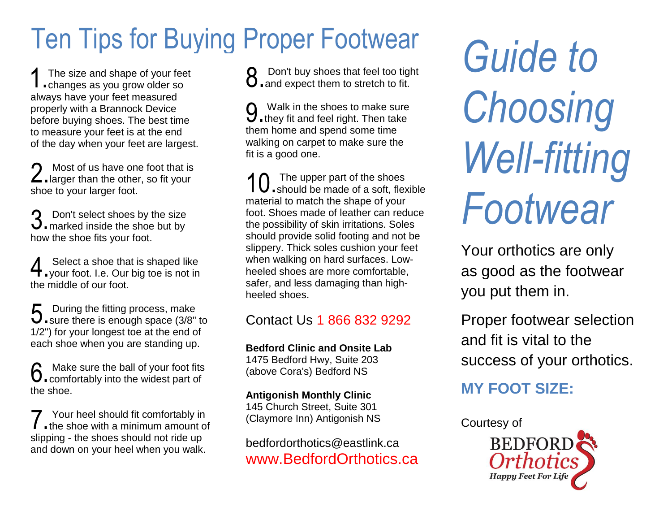# Ten Tips for Buying Proper Footwear

The size and shape of your feet 1 The size and shape of your fee<br>
...changes as you grow older so always have your feet measured properly with a Brannock Device before buying shoes. The best time to measure your feet is at the end of the day when your feet are largest.

Most of us have one foot that is 2. Most of us have one foot that is<br>2. larger than the other, so fit your shoe to your larger foot.

Don't select shoes by the size 3. Don't select shoes by the size<br>3. marked inside the shoe but by how the shoe fits your foot.

Select a shoe that is shaped like **4** Select a shoe that is shaped like<br>your foot. I.e. Our big toe is not in the middle of our foot.

5. During the fitting process, make<br>
5. sure there is enough space (3/8" U sure there is enough space (3/8" to 1/2") for your longest toe at the end of each shoe when you are standing up.

Make sure the ball of your foot fits  $6$ . Make sure the ball of your foot fits<br>  $6$ . comfortably into the widest part of the shoe.

Your heel should fit comfortably in T Your heel should fit comfortably in<br>
the shoe with a minimum amount of slipping - the shoes should not ride up and down on your heel when you walk.

Don't buy shoes that feel too tight **8** Don't buy shoes that feel too tight)<br>**8** and expect them to stretch to fit.

Walk in the shoes to make sure **9** Walk in the shoes to make sure<br>**9** they fit and feel right. Then take them home and spend some time walking on carpet to make sure the fit is a good one.

The upper part of the shoes 10. The upper part of the shoes<br>should be made of a soft, flexible material to match the shape of your foot. Shoes made of leather can reduce the possibility of skin irritations. Soles should provide solid footing and not be slippery. Thick soles cushion your feet when walking on hard surfaces. Lowheeled shoes are more comfortable, safer, and less damaging than highheeled shoes.

#### Contact Us 1 866 832 9292

**Bedford Clinic and Onsite Lab**  1475 Bedford Hwy, Suite 203 (above Cora's) Bedford NS

#### **Antigonish Monthly Clinic**

145 Church Street, Suite 301 (Claymore Inn) Antigonish NS

bedfordorthotics@eastlink.ca www.BedfordOrthotics.ca

*Guide to Choosing Well-fitting Footwear*

Your orthotics are only as good as the footwear you put them in.

Proper footwear selection and fit is vital to the success of your orthotics.

#### **MY FOOT SIZE:**